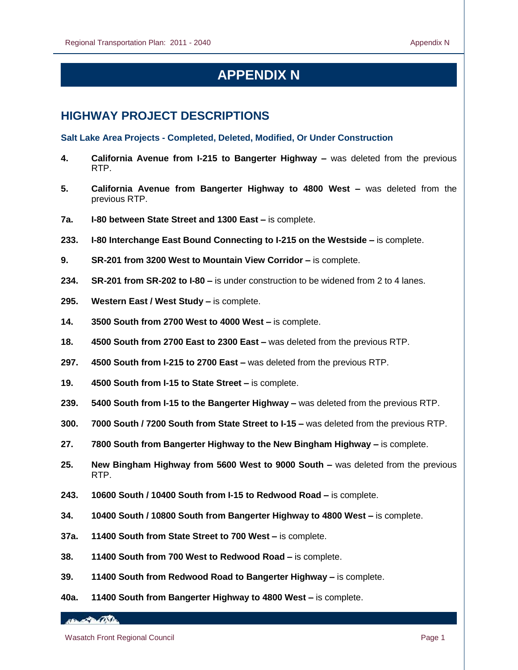# **APPENDIX N**

# **HIGHWAY PROJECT DESCRIPTIONS**

**Salt Lake Area Projects - Completed, Deleted, Modified, Or Under Construction**

- **4. California Avenue from I-215 to Bangerter Highway –** was deleted from the previous RTP.
- **5. California Avenue from Bangerter Highway to 4800 West –** was deleted from the previous RTP.
- **7a. I-80 between State Street and 1300 East –** is complete.
- **233. I-80 Interchange East Bound Connecting to I-215 on the Westside –** is complete.
- **9. SR-201 from 3200 West to Mountain View Corridor –** is complete.
- **234. SR-201 from SR-202 to I-80 –** is under construction to be widened from 2 to 4 lanes.
- **295. Western East / West Study –** is complete.
- **14. 3500 South from 2700 West to 4000 West –** is complete.
- **18. 4500 South from 2700 East to 2300 East –** was deleted from the previous RTP.
- **297. 4500 South from I-215 to 2700 East –** was deleted from the previous RTP.
- **19. 4500 South from I-15 to State Street –** is complete.
- **239. 5400 South from I-15 to the Bangerter Highway –** was deleted from the previous RTP.
- **300. 7000 South / 7200 South from State Street to I-15 –** was deleted from the previous RTP.
- **27. 7800 South from Bangerter Highway to the New Bingham Highway –** is complete.
- **25. New Bingham Highway from 5600 West to 9000 South –** was deleted from the previous RTP.
- **243. 10600 South / 10400 South from I-15 to Redwood Road –** is complete.
- **34. 10400 South / 10800 South from Bangerter Highway to 4800 West –** is complete.
- **37a. 11400 South from State Street to 700 West –** is complete.
- **38. 11400 South from 700 West to Redwood Road –** is complete.
- **39. 11400 South from Redwood Road to Bangerter Highway –** is complete.
- **40a. 11400 South from Bangerter Highway to 4800 West –** is complete.

*ABLAZZA (DS)*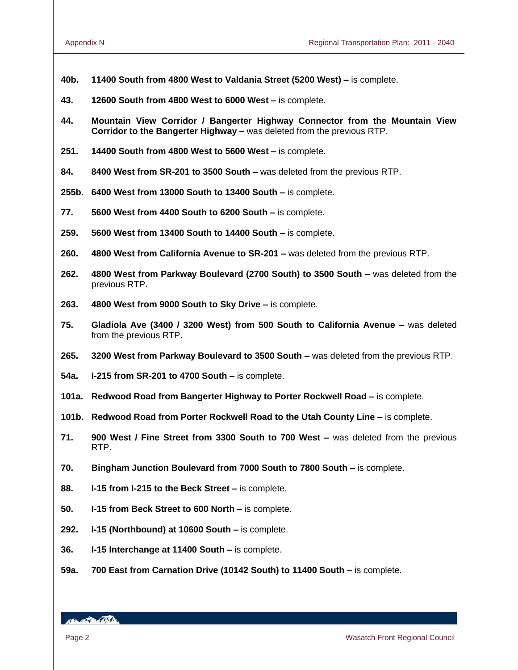- **40b. 11400 South from 4800 West to Valdania Street (5200 West) –** is complete.
- **43. 12600 South from 4800 West to 6000 West –** is complete.
- **44. Mountain View Corridor / Bangerter Highway Connector from the Mountain View Corridor to the Bangerter Highway –** was deleted from the previous RTP.
- **251. 14400 South from 4800 West to 5600 West –** is complete.
- **84. 8400 West from SR-201 to 3500 South –** was deleted from the previous RTP.
- **255b. 6400 West from 13000 South to 13400 South –** is complete.
- **77. 5600 West from 4400 South to 6200 South –** is complete.
- **259. 5600 West from 13400 South to 14400 South –** is complete.
- **260. 4800 West from California Avenue to SR-201 –** was deleted from the previous RTP.
- **262. 4800 West from Parkway Boulevard (2700 South) to 3500 South –** was deleted from the previous RTP.
- **263. 4800 West from 9000 South to Sky Drive –** is complete.
- **75. Gladiola Ave (3400 / 3200 West) from 500 South to California Avenue –** was deleted from the previous RTP.
- **265. 3200 West from Parkway Boulevard to 3500 South –** was deleted from the previous RTP.
- **54a. I-215 from SR-201 to 4700 South –** is complete.
- **101a. Redwood Road from Bangerter Highway to Porter Rockwell Road –** is complete.
- **101b. Redwood Road from Porter Rockwell Road to the Utah County Line –** is complete.
- **71. 900 West / Fine Street from 3300 South to 700 West –** was deleted from the previous RTP.
- **70. Bingham Junction Boulevard from 7000 South to 7800 South –** is complete.
- **88. I-15 from I-215 to the Beck Street –** is complete.
- **50. I-15 from Beck Street to 600 North –** is complete.
- **292. I-15 (Northbound) at 10600 South –** is complete.
- **36. I-15 Interchange at 11400 South –** is complete.
- **59a. 700 East from Carnation Drive (10142 South) to 11400 South –** is complete.

**ABLACTION OSTA**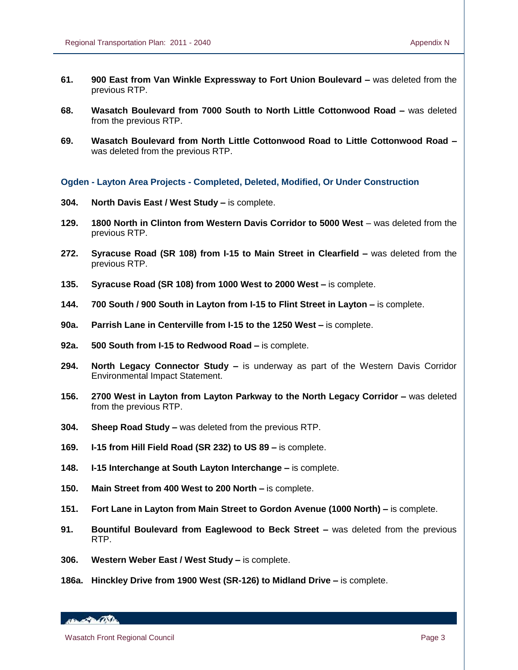- **61. 900 East from Van Winkle Expressway to Fort Union Boulevard –** was deleted from the previous RTP.
- **68. Wasatch Boulevard from 7000 South to North Little Cottonwood Road –** was deleted from the previous RTP.
- **69. Wasatch Boulevard from North Little Cottonwood Road to Little Cottonwood Road –** was deleted from the previous RTP.

**Ogden - Layton Area Projects - Completed, Deleted, Modified, Or Under Construction**

- **304. North Davis East / West Study –** is complete.
- **129. 1800 North in Clinton from Western Davis Corridor to 5000 West** was deleted from the previous RTP.
- **272. Syracuse Road (SR 108) from I-15 to Main Street in Clearfield –** was deleted from the previous RTP.
- **135. Syracuse Road (SR 108) from 1000 West to 2000 West –** is complete.
- **144. 700 South / 900 South in Layton from I-15 to Flint Street in Layton –** is complete.
- **90a. Parrish Lane in Centerville from I-15 to the 1250 West –** is complete.
- **92a. 500 South from I-15 to Redwood Road –** is complete.
- **294. North Legacy Connector Study –** is underway as part of the Western Davis Corridor Environmental Impact Statement.
- **156. 2700 West in Layton from Layton Parkway to the North Legacy Corridor –** was deleted from the previous RTP.
- **304. Sheep Road Study –** was deleted from the previous RTP.
- **169. I-15 from Hill Field Road (SR 232) to US 89 –** is complete.
- **148. I-15 Interchange at South Layton Interchange –** is complete.
- **150. Main Street from 400 West to 200 North –** is complete.
- **151. Fort Lane in Layton from Main Street to Gordon Avenue (1000 North) –** is complete.
- **91. Bountiful Boulevard from Eaglewood to Beck Street –** was deleted from the previous RTP.
- **306. Western Weber East / West Study –** is complete.
- **186a. Hinckley Drive from 1900 West (SR-126) to Midland Drive –** is complete.

HELL POLICE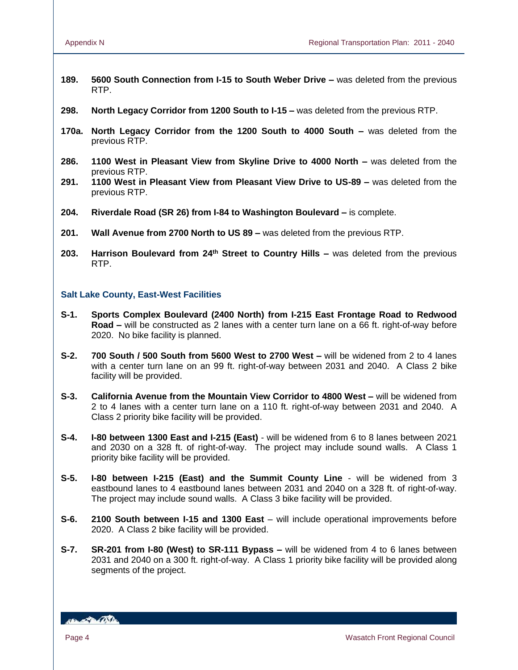- **189. 5600 South Connection from I-15 to South Weber Drive –** was deleted from the previous RTP.
- **298. North Legacy Corridor from 1200 South to I-15 –** was deleted from the previous RTP.
- **170a. North Legacy Corridor from the 1200 South to 4000 South –** was deleted from the previous RTP.
- **286. 1100 West in Pleasant View from Skyline Drive to 4000 North –** was deleted from the previous RTP.
- **291. 1100 West in Pleasant View from Pleasant View Drive to US-89 –** was deleted from the previous RTP.
- **204. Riverdale Road (SR 26) from I-84 to Washington Boulevard –** is complete.
- **201. Wall Avenue from 2700 North to US 89 –** was deleted from the previous RTP.
- **203. Harrison Boulevard from 24th Street to Country Hills –** was deleted from the previous RTP.

## **Salt Lake County, East-West Facilities**

- **S-1. Sports Complex Boulevard (2400 North) from I-215 East Frontage Road to Redwood Road –** will be constructed as 2 lanes with a center turn lane on a 66 ft. right-of-way before 2020. No bike facility is planned.
- **S-2. 700 South / 500 South from 5600 West to 2700 West –** will be widened from 2 to 4 lanes with a center turn lane on an 99 ft. right-of-way between 2031 and 2040. A Class 2 bike facility will be provided.
- **S-3. California Avenue from the Mountain View Corridor to 4800 West –** will be widened from 2 to 4 lanes with a center turn lane on a 110 ft. right-of-way between 2031 and 2040. A Class 2 priority bike facility will be provided.
- **S-4. I-80 between 1300 East and I-215 (East)** will be widened from 6 to 8 lanes between 2021 and 2030 on a 328 ft. of right-of-way. The project may include sound walls. A Class 1 priority bike facility will be provided.
- **S-5. I-80 between I-215 (East) and the Summit County Line** will be widened from 3 eastbound lanes to 4 eastbound lanes between 2031 and 2040 on a 328 ft. of right-of-way. The project may include sound walls. A Class 3 bike facility will be provided.
- **S-6. 2100 South between I-15 and 1300 East** will include operational improvements before 2020. A Class 2 bike facility will be provided.
- **S-7. SR-201 from I-80 (West) to SR-111 Bypass –** will be widened from 4 to 6 lanes between 2031 and 2040 on a 300 ft. right-of-way. A Class 1 priority bike facility will be provided along segments of the project.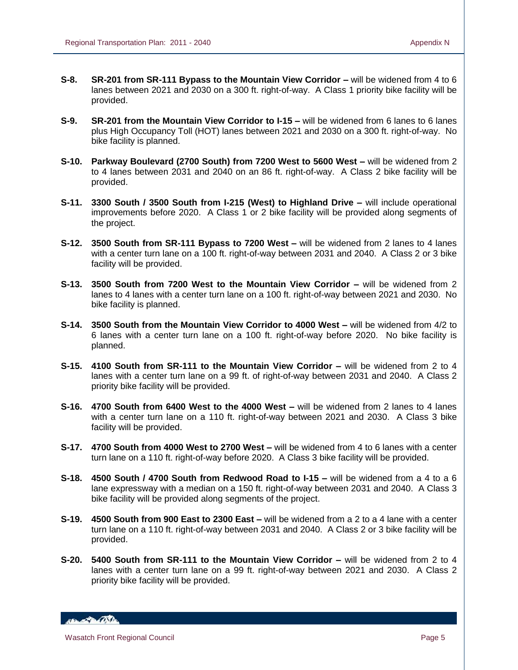- **S-8. SR-201 from SR-111 Bypass to the Mountain View Corridor –** will be widened from 4 to 6 lanes between 2021 and 2030 on a 300 ft. right-of-way. A Class 1 priority bike facility will be provided.
- **S-9. SR-201 from the Mountain View Corridor to I-15 –** will be widened from 6 lanes to 6 lanes plus High Occupancy Toll (HOT) lanes between 2021 and 2030 on a 300 ft. right-of-way. No bike facility is planned.
- **S-10. Parkway Boulevard (2700 South) from 7200 West to 5600 West –** will be widened from 2 to 4 lanes between 2031 and 2040 on an 86 ft. right-of-way. A Class 2 bike facility will be provided.
- **S-11. 3300 South / 3500 South from I-215 (West) to Highland Drive –** will include operational improvements before 2020. A Class 1 or 2 bike facility will be provided along segments of the project.
- **S-12. 3500 South from SR-111 Bypass to 7200 West –** will be widened from 2 lanes to 4 lanes with a center turn lane on a 100 ft. right-of-way between 2031 and 2040. A Class 2 or 3 bike facility will be provided.
- **S-13. 3500 South from 7200 West to the Mountain View Corridor –** will be widened from 2 lanes to 4 lanes with a center turn lane on a 100 ft. right-of-way between 2021 and 2030. No bike facility is planned.
- **S-14. 3500 South from the Mountain View Corridor to 4000 West –** will be widened from 4/2 to 6 lanes with a center turn lane on a 100 ft. right-of-way before 2020. No bike facility is planned.
- **S-15. 4100 South from SR-111 to the Mountain View Corridor –** will be widened from 2 to 4 lanes with a center turn lane on a 99 ft. of right-of-way between 2031 and 2040. A Class 2 priority bike facility will be provided.
- **S-16. 4700 South from 6400 West to the 4000 West –** will be widened from 2 lanes to 4 lanes with a center turn lane on a 110 ft. right-of-way between 2021 and 2030. A Class 3 bike facility will be provided.
- **S-17. 4700 South from 4000 West to 2700 West –** will be widened from 4 to 6 lanes with a center turn lane on a 110 ft. right-of-way before 2020. A Class 3 bike facility will be provided.
- **S-18. 4500 South / 4700 South from Redwood Road to I-15 –** will be widened from a 4 to a 6 lane expressway with a median on a 150 ft. right-of-way between 2031 and 2040. A Class 3 bike facility will be provided along segments of the project.
- **S-19. 4500 South from 900 East to 2300 East –** will be widened from a 2 to a 4 lane with a center turn lane on a 110 ft. right-of-way between 2031 and 2040. A Class 2 or 3 bike facility will be provided.
- **S-20. 5400 South from SR-111 to the Mountain View Corridor –** will be widened from 2 to 4 lanes with a center turn lane on a 99 ft. right-of-way between 2021 and 2030. A Class 2 priority bike facility will be provided.

HEL POLITIC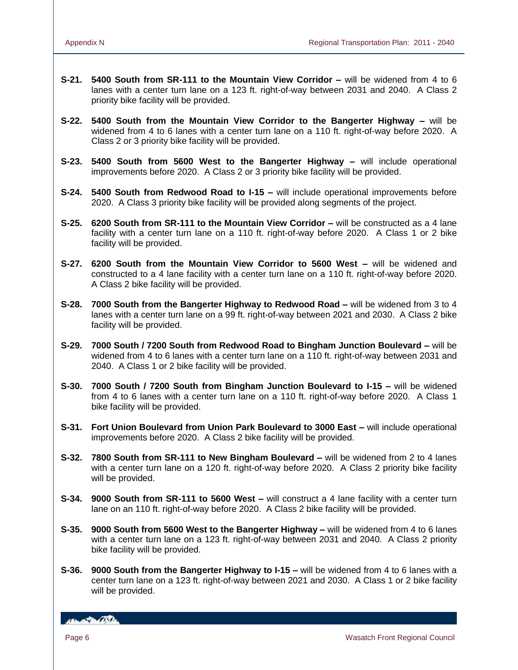- **S-21. 5400 South from SR-111 to the Mountain View Corridor –** will be widened from 4 to 6 lanes with a center turn lane on a 123 ft. right-of-way between 2031 and 2040. A Class 2 priority bike facility will be provided.
- **S-22. 5400 South from the Mountain View Corridor to the Bangerter Highway –** will be widened from 4 to 6 lanes with a center turn lane on a 110 ft. right-of-way before 2020. A Class 2 or 3 priority bike facility will be provided.
- **S-23. 5400 South from 5600 West to the Bangerter Highway –** will include operational improvements before 2020. A Class 2 or 3 priority bike facility will be provided.
- **S-24. 5400 South from Redwood Road to I-15 –** will include operational improvements before 2020. A Class 3 priority bike facility will be provided along segments of the project.
- **S-25. 6200 South from SR-111 to the Mountain View Corridor –** will be constructed as a 4 lane facility with a center turn lane on a 110 ft. right-of-way before 2020. A Class 1 or 2 bike facility will be provided.
- **S-27. 6200 South from the Mountain View Corridor to 5600 West –** will be widened and constructed to a 4 lane facility with a center turn lane on a 110 ft. right-of-way before 2020. A Class 2 bike facility will be provided.
- **S-28. 7000 South from the Bangerter Highway to Redwood Road –** will be widened from 3 to 4 lanes with a center turn lane on a 99 ft. right-of-way between 2021 and 2030. A Class 2 bike facility will be provided.
- **S-29. 7000 South / 7200 South from Redwood Road to Bingham Junction Boulevard –** will be widened from 4 to 6 lanes with a center turn lane on a 110 ft. right-of-way between 2031 and 2040. A Class 1 or 2 bike facility will be provided.
- **S-30. 7000 South / 7200 South from Bingham Junction Boulevard to I-15 –** will be widened from 4 to 6 lanes with a center turn lane on a 110 ft. right-of-way before 2020. A Class 1 bike facility will be provided.
- **S-31. Fort Union Boulevard from Union Park Boulevard to 3000 East –** will include operational improvements before 2020. A Class 2 bike facility will be provided.
- **S-32. 7800 South from SR-111 to New Bingham Boulevard –** will be widened from 2 to 4 lanes with a center turn lane on a 120 ft. right-of-way before 2020. A Class 2 priority bike facility will be provided.
- **S-34. 9000 South from SR-111 to 5600 West –** will construct a 4 lane facility with a center turn lane on an 110 ft. right-of-way before 2020. A Class 2 bike facility will be provided.
- **S-35. 9000 South from 5600 West to the Bangerter Highway –** will be widened from 4 to 6 lanes with a center turn lane on a 123 ft. right-of-way between 2031 and 2040. A Class 2 priority bike facility will be provided.
- **S-36. 9000 South from the Bangerter Highway to I-15 –** will be widened from 4 to 6 lanes with a center turn lane on a 123 ft. right-of-way between 2021 and 2030. A Class 1 or 2 bike facility will be provided.

*ISLAND CONTINUE*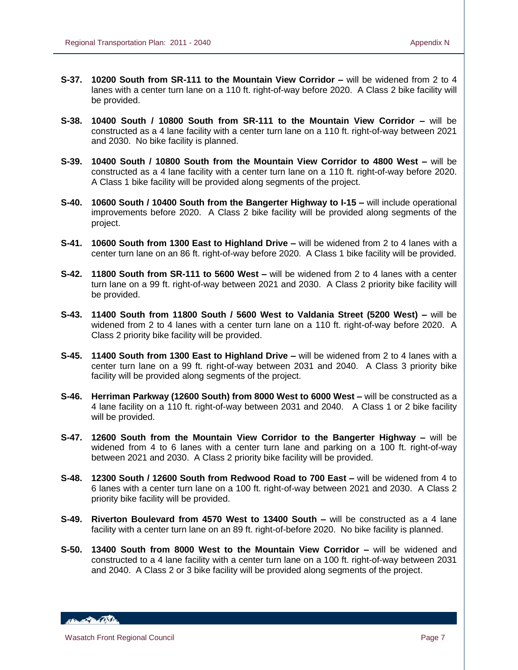- **S-37. 10200 South from SR-111 to the Mountain View Corridor –** will be widened from 2 to 4 lanes with a center turn lane on a 110 ft. right-of-way before 2020. A Class 2 bike facility will be provided.
- **S-38. 10400 South / 10800 South from SR-111 to the Mountain View Corridor –** will be constructed as a 4 lane facility with a center turn lane on a 110 ft. right-of-way between 2021 and 2030. No bike facility is planned.
- **S-39. 10400 South / 10800 South from the Mountain View Corridor to 4800 West –** will be constructed as a 4 lane facility with a center turn lane on a 110 ft. right-of-way before 2020. A Class 1 bike facility will be provided along segments of the project.
- **S-40. 10600 South / 10400 South from the Bangerter Highway to I-15 –** will include operational improvements before 2020. A Class 2 bike facility will be provided along segments of the project.
- **S-41. 10600 South from 1300 East to Highland Drive –** will be widened from 2 to 4 lanes with a center turn lane on an 86 ft. right-of-way before 2020. A Class 1 bike facility will be provided.
- **S-42. 11800 South from SR-111 to 5600 West –** will be widened from 2 to 4 lanes with a center turn lane on a 99 ft. right-of-way between 2021 and 2030. A Class 2 priority bike facility will be provided.
- **S-43. 11400 South from 11800 South / 5600 West to Valdania Street (5200 West) –** will be widened from 2 to 4 lanes with a center turn lane on a 110 ft. right-of-way before 2020. A Class 2 priority bike facility will be provided.
- **S-45. 11400 South from 1300 East to Highland Drive –** will be widened from 2 to 4 lanes with a center turn lane on a 99 ft. right-of-way between 2031 and 2040. A Class 3 priority bike facility will be provided along segments of the project.
- **S-46. Herriman Parkway (12600 South) from 8000 West to 6000 West –** will be constructed as a 4 lane facility on a 110 ft. right-of-way between 2031 and 2040. A Class 1 or 2 bike facility will be provided.
- **S-47. 12600 South from the Mountain View Corridor to the Bangerter Highway –** will be widened from 4 to 6 lanes with a center turn lane and parking on a 100 ft. right-of-way between 2021 and 2030. A Class 2 priority bike facility will be provided.
- **S-48. 12300 South / 12600 South from Redwood Road to 700 East –** will be widened from 4 to 6 lanes with a center turn lane on a 100 ft. right-of-way between 2021 and 2030. A Class 2 priority bike facility will be provided.
- **S-49. Riverton Boulevard from 4570 West to 13400 South –** will be constructed as a 4 lane facility with a center turn lane on an 89 ft. right-of-before 2020. No bike facility is planned.
- **S-50. 13400 South from 8000 West to the Mountain View Corridor –** will be widened and constructed to a 4 lane facility with a center turn lane on a 100 ft. right-of-way between 2031 and 2040. A Class 2 or 3 bike facility will be provided along segments of the project.

**ABY ALBANDA**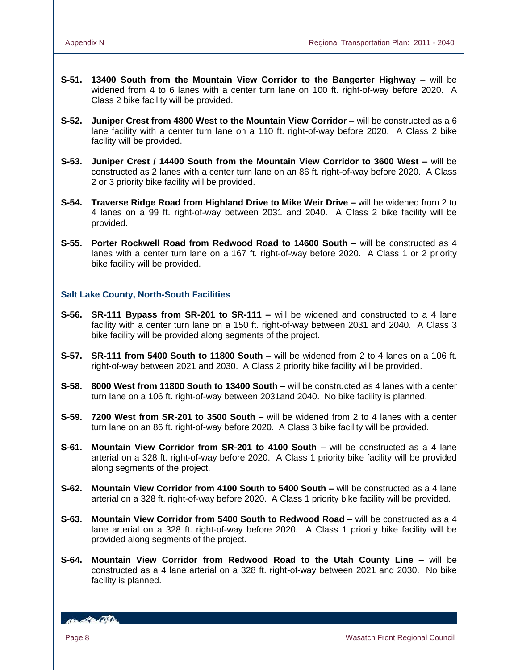- **S-51. 13400 South from the Mountain View Corridor to the Bangerter Highway –** will be widened from 4 to 6 lanes with a center turn lane on 100 ft. right-of-way before 2020. A Class 2 bike facility will be provided.
- **S-52. Juniper Crest from 4800 West to the Mountain View Corridor –** will be constructed as a 6 lane facility with a center turn lane on a 110 ft. right-of-way before 2020. A Class 2 bike facility will be provided.
- **S-53. Juniper Crest / 14400 South from the Mountain View Corridor to 3600 West –** will be constructed as 2 lanes with a center turn lane on an 86 ft. right-of-way before 2020. A Class 2 or 3 priority bike facility will be provided.
- **S-54. Traverse Ridge Road from Highland Drive to Mike Weir Drive –** will be widened from 2 to 4 lanes on a 99 ft. right-of-way between 2031 and 2040. A Class 2 bike facility will be provided.
- **S-55. Porter Rockwell Road from Redwood Road to 14600 South –** will be constructed as 4 lanes with a center turn lane on a 167 ft. right-of-way before 2020. A Class 1 or 2 priority bike facility will be provided.

# **Salt Lake County, North-South Facilities**

- **S-56. SR-111 Bypass from SR-201 to SR-111 –** will be widened and constructed to a 4 lane facility with a center turn lane on a 150 ft. right-of-way between 2031 and 2040. A Class 3 bike facility will be provided along segments of the project.
- **S-57. SR-111 from 5400 South to 11800 South –** will be widened from 2 to 4 lanes on a 106 ft. right-of-way between 2021 and 2030. A Class 2 priority bike facility will be provided.
- **S-58. 8000 West from 11800 South to 13400 South –** will be constructed as 4 lanes with a center turn lane on a 106 ft. right-of-way between 2031and 2040. No bike facility is planned.
- **S-59. 7200 West from SR-201 to 3500 South –** will be widened from 2 to 4 lanes with a center turn lane on an 86 ft. right-of-way before 2020. A Class 3 bike facility will be provided.
- **S-61. Mountain View Corridor from SR-201 to 4100 South –** will be constructed as a 4 lane arterial on a 328 ft. right-of-way before 2020. A Class 1 priority bike facility will be provided along segments of the project.
- **S-62. Mountain View Corridor from 4100 South to 5400 South –** will be constructed as a 4 lane arterial on a 328 ft. right-of-way before 2020. A Class 1 priority bike facility will be provided.
- **S-63. Mountain View Corridor from 5400 South to Redwood Road –** will be constructed as a 4 lane arterial on a 328 ft. right-of-way before 2020. A Class 1 priority bike facility will be provided along segments of the project.
- **S-64. Mountain View Corridor from Redwood Road to the Utah County Line –** will be constructed as a 4 lane arterial on a 328 ft. right-of-way between 2021 and 2030. No bike facility is planned.

**Branch De Children**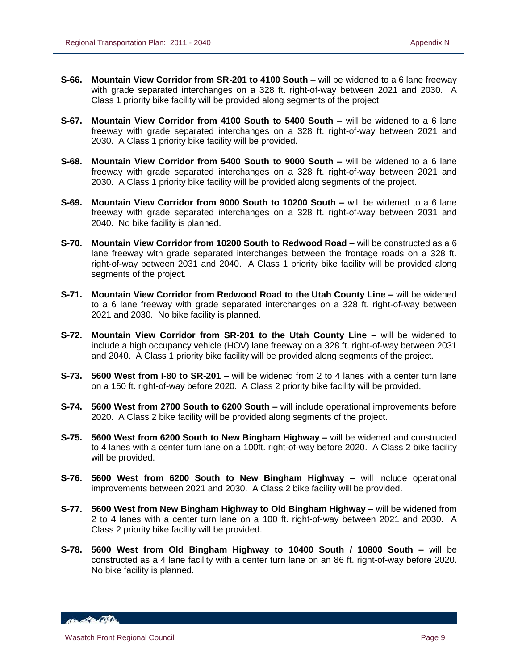- **S-66. Mountain View Corridor from SR-201 to 4100 South –** will be widened to a 6 lane freeway with grade separated interchanges on a 328 ft. right-of-way between 2021 and 2030. A Class 1 priority bike facility will be provided along segments of the project.
- **S-67. Mountain View Corridor from 4100 South to 5400 South –** will be widened to a 6 lane freeway with grade separated interchanges on a 328 ft. right-of-way between 2021 and 2030. A Class 1 priority bike facility will be provided.
- **S-68. Mountain View Corridor from 5400 South to 9000 South –** will be widened to a 6 lane freeway with grade separated interchanges on a 328 ft. right-of-way between 2021 and 2030. A Class 1 priority bike facility will be provided along segments of the project.
- **S-69. Mountain View Corridor from 9000 South to 10200 South –** will be widened to a 6 lane freeway with grade separated interchanges on a 328 ft. right-of-way between 2031 and 2040. No bike facility is planned.
- **S-70. Mountain View Corridor from 10200 South to Redwood Road –** will be constructed as a 6 lane freeway with grade separated interchanges between the frontage roads on a 328 ft. right-of-way between 2031 and 2040. A Class 1 priority bike facility will be provided along segments of the project.
- **S-71. Mountain View Corridor from Redwood Road to the Utah County Line –** will be widened to a 6 lane freeway with grade separated interchanges on a 328 ft. right-of-way between 2021 and 2030. No bike facility is planned.
- **S-72. Mountain View Corridor from SR-201 to the Utah County Line –** will be widened to include a high occupancy vehicle (HOV) lane freeway on a 328 ft. right-of-way between 2031 and 2040. A Class 1 priority bike facility will be provided along segments of the project.
- **S-73. 5600 West from I-80 to SR-201 –** will be widened from 2 to 4 lanes with a center turn lane on a 150 ft. right-of-way before 2020. A Class 2 priority bike facility will be provided.
- **S-74. 5600 West from 2700 South to 6200 South –** will include operational improvements before 2020. A Class 2 bike facility will be provided along segments of the project.
- **S-75. 5600 West from 6200 South to New Bingham Highway –** will be widened and constructed to 4 lanes with a center turn lane on a 100ft. right-of-way before 2020. A Class 2 bike facility will be provided.
- **S-76. 5600 West from 6200 South to New Bingham Highway –** will include operational improvements between 2021 and 2030. A Class 2 bike facility will be provided.
- **S-77. 5600 West from New Bingham Highway to Old Bingham Highway –** will be widened from 2 to 4 lanes with a center turn lane on a 100 ft. right-of-way between 2021 and 2030. A Class 2 priority bike facility will be provided.
- **S-78. 5600 West from Old Bingham Highway to 10400 South / 10800 South –** will be constructed as a 4 lane facility with a center turn lane on an 86 ft. right-of-way before 2020. No bike facility is planned.

**ABY ALBANDA**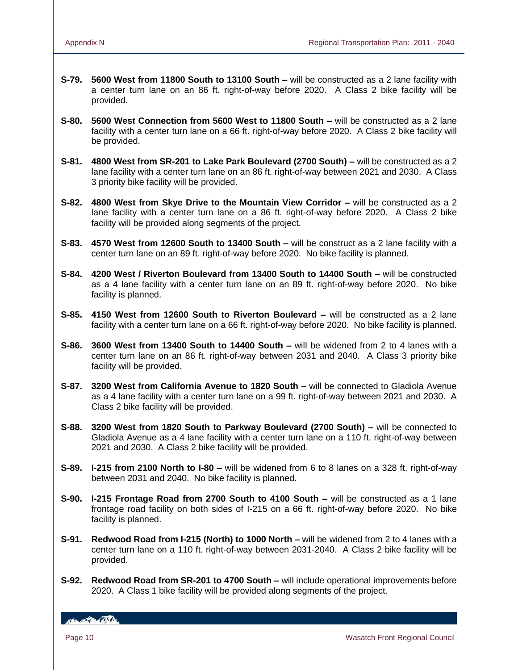- **S-79. 5600 West from 11800 South to 13100 South –** will be constructed as a 2 lane facility with a center turn lane on an 86 ft. right-of-way before 2020. A Class 2 bike facility will be provided.
- **S-80. 5600 West Connection from 5600 West to 11800 South –** will be constructed as a 2 lane facility with a center turn lane on a 66 ft. right-of-way before 2020. A Class 2 bike facility will be provided.
- **S-81. 4800 West from SR-201 to Lake Park Boulevard (2700 South) –** will be constructed as a 2 lane facility with a center turn lane on an 86 ft. right-of-way between 2021 and 2030. A Class 3 priority bike facility will be provided.
- **S-82. 4800 West from Skye Drive to the Mountain View Corridor –** will be constructed as a 2 lane facility with a center turn lane on a 86 ft. right-of-way before 2020. A Class 2 bike facility will be provided along segments of the project.
- **S-83. 4570 West from 12600 South to 13400 South –** will be construct as a 2 lane facility with a center turn lane on an 89 ft. right-of-way before 2020. No bike facility is planned.
- **S-84. 4200 West / Riverton Boulevard from 13400 South to 14400 South –** will be constructed as a 4 lane facility with a center turn lane on an 89 ft. right-of-way before 2020. No bike facility is planned.
- **S-85. 4150 West from 12600 South to Riverton Boulevard –** will be constructed as a 2 lane facility with a center turn lane on a 66 ft. right-of-way before 2020. No bike facility is planned.
- **S-86. 3600 West from 13400 South to 14400 South –** will be widened from 2 to 4 lanes with a center turn lane on an 86 ft. right-of-way between 2031 and 2040. A Class 3 priority bike facility will be provided.
- **S-87. 3200 West from California Avenue to 1820 South –** will be connected to Gladiola Avenue as a 4 lane facility with a center turn lane on a 99 ft. right-of-way between 2021 and 2030. A Class 2 bike facility will be provided.
- **S-88. 3200 West from 1820 South to Parkway Boulevard (2700 South) –** will be connected to Gladiola Avenue as a 4 lane facility with a center turn lane on a 110 ft. right-of-way between 2021 and 2030. A Class 2 bike facility will be provided.
- **S-89. I-215 from 2100 North to I-80 –** will be widened from 6 to 8 lanes on a 328 ft. right-of-way between 2031 and 2040. No bike facility is planned.
- **S-90. I-215 Frontage Road from 2700 South to 4100 South –** will be constructed as a 1 lane frontage road facility on both sides of I-215 on a 66 ft. right-of-way before 2020. No bike facility is planned.
- **S-91. Redwood Road from I-215 (North) to 1000 North –** will be widened from 2 to 4 lanes with a center turn lane on a 110 ft. right-of-way between 2031-2040. A Class 2 bike facility will be provided.
- **S-92. Redwood Road from SR-201 to 4700 South –** will include operational improvements before 2020. A Class 1 bike facility will be provided along segments of the project.

**ABLACTION OSTA**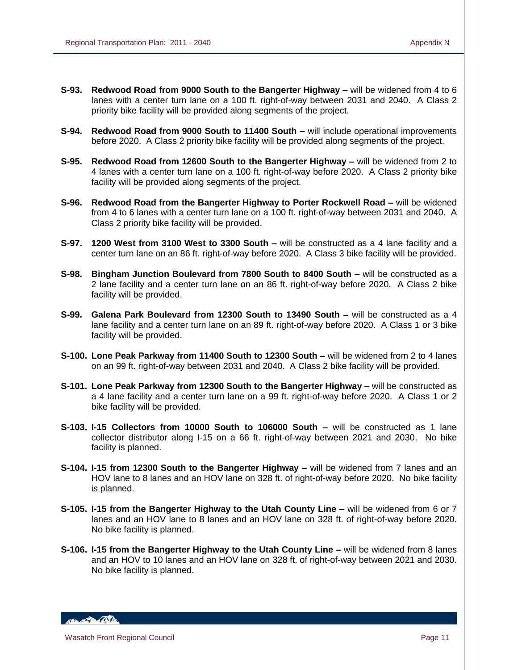- **S-93. Redwood Road from 9000 South to the Bangerter Highway –** will be widened from 4 to 6 lanes with a center turn lane on a 100 ft. right-of-way between 2031 and 2040. A Class 2 priority bike facility will be provided along segments of the project.
- **S-94. Redwood Road from 9000 South to 11400 South –** will include operational improvements before 2020. A Class 2 priority bike facility will be provided along segments of the project.
- **S-95. Redwood Road from 12600 South to the Bangerter Highway –** will be widened from 2 to 4 lanes with a center turn lane on a 100 ft. right-of-way before 2020. A Class 2 priority bike facility will be provided along segments of the project.
- **S-96. Redwood Road from the Bangerter Highway to Porter Rockwell Road –** will be widened from 4 to 6 lanes with a center turn lane on a 100 ft. right-of-way between 2031 and 2040. A Class 2 priority bike facility will be provided.
- **S-97. 1200 West from 3100 West to 3300 South –** will be constructed as a 4 lane facility and a center turn lane on an 86 ft. right-of-way before 2020. A Class 3 bike facility will be provided.
- **S-98. Bingham Junction Boulevard from 7800 South to 8400 South –** will be constructed as a 2 lane facility and a center turn lane on an 86 ft. right-of-way before 2020. A Class 2 bike facility will be provided.
- **S-99. Galena Park Boulevard from 12300 South to 13490 South –** will be constructed as a 4 lane facility and a center turn lane on an 89 ft. right-of-way before 2020. A Class 1 or 3 bike facility will be provided.
- **S-100. Lone Peak Parkway from 11400 South to 12300 South –** will be widened from 2 to 4 lanes on an 99 ft. right-of-way between 2031 and 2040. A Class 2 bike facility will be provided.
- **S-101. Lone Peak Parkway from 12300 South to the Bangerter Highway –** will be constructed as a 4 lane facility and a center turn lane on a 99 ft. right-of-way before 2020. A Class 1 or 2 bike facility will be provided.
- **S-103. I-15 Collectors from 10000 South to 106000 South –** will be constructed as 1 lane collector distributor along I-15 on a 66 ft. right-of-way between 2021 and 2030. No bike facility is planned.
- **S-104. I-15 from 12300 South to the Bangerter Highway –** will be widened from 7 lanes and an HOV lane to 8 lanes and an HOV lane on 328 ft. of right-of-way before 2020. No bike facility is planned.
- **S-105. I-15 from the Bangerter Highway to the Utah County Line –** will be widened from 6 or 7 lanes and an HOV lane to 8 lanes and an HOV lane on 328 ft. of right-of-way before 2020. No bike facility is planned.
- **S-106. I-15 from the Bangerter Highway to the Utah County Line –** will be widened from 8 lanes and an HOV to 10 lanes and an HOV lane on 328 ft. of right-of-way between 2021 and 2030. No bike facility is planned.

**ABY ALBARATORY**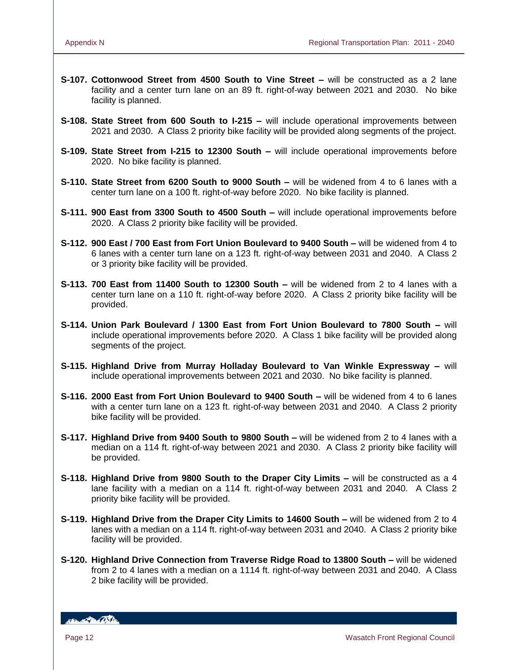- **S-107. Cottonwood Street from 4500 South to Vine Street –** will be constructed as a 2 lane facility and a center turn lane on an 89 ft. right-of-way between 2021 and 2030. No bike facility is planned.
- **S-108. State Street from 600 South to I-215 –** will include operational improvements between 2021 and 2030. A Class 2 priority bike facility will be provided along segments of the project.
- **S-109. State Street from I-215 to 12300 South –** will include operational improvements before 2020. No bike facility is planned.
- **S-110. State Street from 6200 South to 9000 South –** will be widened from 4 to 6 lanes with a center turn lane on a 100 ft. right-of-way before 2020. No bike facility is planned.
- **S-111. 900 East from 3300 South to 4500 South –** will include operational improvements before 2020. A Class 2 priority bike facility will be provided.
- **S-112. 900 East / 700 East from Fort Union Boulevard to 9400 South –** will be widened from 4 to 6 lanes with a center turn lane on a 123 ft. right-of-way between 2031 and 2040. A Class 2 or 3 priority bike facility will be provided.
- **S-113. 700 East from 11400 South to 12300 South –** will be widened from 2 to 4 lanes with a center turn lane on a 110 ft. right-of-way before 2020. A Class 2 priority bike facility will be provided.
- **S-114. Union Park Boulevard / 1300 East from Fort Union Boulevard to 7800 South –** will include operational improvements before 2020. A Class 1 bike facility will be provided along segments of the project.
- **S-115. Highland Drive from Murray Holladay Boulevard to Van Winkle Expressway –** will include operational improvements between 2021 and 2030. No bike facility is planned.
- **S-116. 2000 East from Fort Union Boulevard to 9400 South –** will be widened from 4 to 6 lanes with a center turn lane on a 123 ft. right-of-way between 2031 and 2040. A Class 2 priority bike facility will be provided.
- **S-117. Highland Drive from 9400 South to 9800 South –** will be widened from 2 to 4 lanes with a median on a 114 ft. right-of-way between 2021 and 2030. A Class 2 priority bike facility will be provided.
- **S-118. Highland Drive from 9800 South to the Draper City Limits –** will be constructed as a 4 lane facility with a median on a 114 ft. right-of-way between 2031 and 2040. A Class 2 priority bike facility will be provided.
- **S-119. Highland Drive from the Draper City Limits to 14600 South –** will be widened from 2 to 4 lanes with a median on a 114 ft. right-of-way between 2031 and 2040. A Class 2 priority bike facility will be provided.
- **S-120. Highland Drive Connection from Traverse Ridge Road to 13800 South –** will be widened from 2 to 4 lanes with a median on a 1114 ft. right-of-way between 2031 and 2040. A Class 2 bike facility will be provided.

HELL POLITIC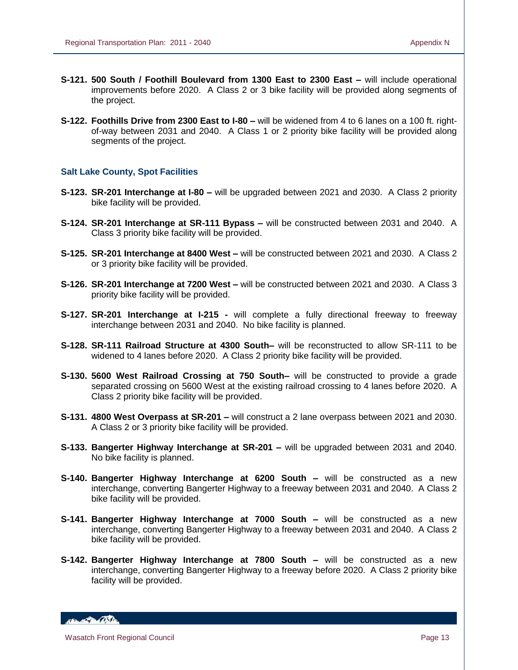- **S-121. 500 South / Foothill Boulevard from 1300 East to 2300 East –** will include operational improvements before 2020. A Class 2 or 3 bike facility will be provided along segments of the project.
- **S-122. Foothills Drive from 2300 East to I-80 –** will be widened from 4 to 6 lanes on a 100 ft. rightof-way between 2031 and 2040. A Class 1 or 2 priority bike facility will be provided along segments of the project.

#### **Salt Lake County, Spot Facilities**

- **S-123. SR-201 Interchange at I-80 –** will be upgraded between 2021 and 2030. A Class 2 priority bike facility will be provided.
- **S-124. SR-201 Interchange at SR-111 Bypass –** will be constructed between 2031 and 2040. A Class 3 priority bike facility will be provided.
- **S-125. SR-201 Interchange at 8400 West –** will be constructed between 2021 and 2030. A Class 2 or 3 priority bike facility will be provided.
- **S-126. SR-201 Interchange at 7200 West –** will be constructed between 2021 and 2030. A Class 3 priority bike facility will be provided.
- **S-127. SR-201 Interchange at I-215 -** will complete a fully directional freeway to freeway interchange between 2031 and 2040. No bike facility is planned.
- **S-128. SR-111 Railroad Structure at 4300 South–** will be reconstructed to allow SR-111 to be widened to 4 lanes before 2020. A Class 2 priority bike facility will be provided.
- **S-130. 5600 West Railroad Crossing at 750 South–** will be constructed to provide a grade separated crossing on 5600 West at the existing railroad crossing to 4 lanes before 2020. A Class 2 priority bike facility will be provided.
- **S-131. 4800 West Overpass at SR-201 –** will construct a 2 lane overpass between 2021 and 2030. A Class 2 or 3 priority bike facility will be provided.
- **S-133. Bangerter Highway Interchange at SR-201 –** will be upgraded between 2031 and 2040. No bike facility is planned.
- **S-140. Bangerter Highway Interchange at 6200 South –** will be constructed as a new interchange, converting Bangerter Highway to a freeway between 2031 and 2040. A Class 2 bike facility will be provided.
- **S-141. Bangerter Highway Interchange at 7000 South –** will be constructed as a new interchange, converting Bangerter Highway to a freeway between 2031 and 2040. A Class 2 bike facility will be provided.
- **S-142. Bangerter Highway Interchange at 7800 South –** will be constructed as a new interchange, converting Bangerter Highway to a freeway before 2020. A Class 2 priority bike facility will be provided.

**ABLACTION OF THE**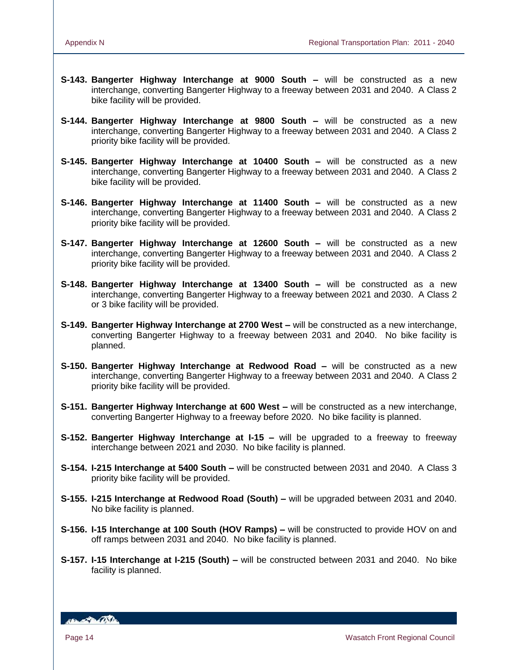- **S-143. Bangerter Highway Interchange at 9000 South –** will be constructed as a new interchange, converting Bangerter Highway to a freeway between 2031 and 2040. A Class 2 bike facility will be provided.
- **S-144. Bangerter Highway Interchange at 9800 South –** will be constructed as a new interchange, converting Bangerter Highway to a freeway between 2031 and 2040. A Class 2 priority bike facility will be provided.
- **S-145. Bangerter Highway Interchange at 10400 South –** will be constructed as a new interchange, converting Bangerter Highway to a freeway between 2031 and 2040. A Class 2 bike facility will be provided.
- **S-146. Bangerter Highway Interchange at 11400 South –** will be constructed as a new interchange, converting Bangerter Highway to a freeway between 2031 and 2040. A Class 2 priority bike facility will be provided.
- **S-147. Bangerter Highway Interchange at 12600 South –** will be constructed as a new interchange, converting Bangerter Highway to a freeway between 2031 and 2040. A Class 2 priority bike facility will be provided.
- **S-148. Bangerter Highway Interchange at 13400 South –** will be constructed as a new interchange, converting Bangerter Highway to a freeway between 2021 and 2030. A Class 2 or 3 bike facility will be provided.
- **S-149. Bangerter Highway Interchange at 2700 West –** will be constructed as a new interchange, converting Bangerter Highway to a freeway between 2031 and 2040. No bike facility is planned.
- **S-150. Bangerter Highway Interchange at Redwood Road –** will be constructed as a new interchange, converting Bangerter Highway to a freeway between 2031 and 2040. A Class 2 priority bike facility will be provided.
- **S-151. Bangerter Highway Interchange at 600 West –** will be constructed as a new interchange, converting Bangerter Highway to a freeway before 2020. No bike facility is planned.
- **S-152. Bangerter Highway Interchange at I-15 –** will be upgraded to a freeway to freeway interchange between 2021 and 2030. No bike facility is planned.
- **S-154. I-215 Interchange at 5400 South –** will be constructed between 2031 and 2040. A Class 3 priority bike facility will be provided.
- **S-155. I-215 Interchange at Redwood Road (South) –** will be upgraded between 2031 and 2040. No bike facility is planned.
- **S-156. I-15 Interchange at 100 South (HOV Ramps) –** will be constructed to provide HOV on and off ramps between 2031 and 2040. No bike facility is planned.
- **S-157. I-15 Interchange at I-215 (South) –** will be constructed between 2031 and 2040. No bike facility is planned.

**ABLACTION OSTA**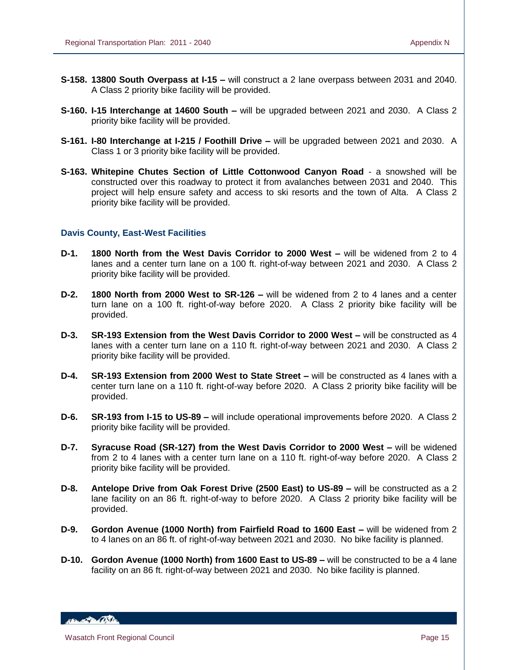- **S-158. 13800 South Overpass at I-15 –** will construct a 2 lane overpass between 2031 and 2040. A Class 2 priority bike facility will be provided.
- **S-160. I-15 Interchange at 14600 South –** will be upgraded between 2021 and 2030. A Class 2 priority bike facility will be provided.
- **S-161. I-80 Interchange at I-215 / Foothill Drive –** will be upgraded between 2021 and 2030. A Class 1 or 3 priority bike facility will be provided.
- **S-163. Whitepine Chutes Section of Little Cottonwood Canyon Road** a snowshed will be constructed over this roadway to protect it from avalanches between 2031 and 2040. This project will help ensure safety and access to ski resorts and the town of Alta. A Class 2 priority bike facility will be provided.

# **Davis County, East-West Facilities**

- **D-1. 1800 North from the West Davis Corridor to 2000 West –** will be widened from 2 to 4 lanes and a center turn lane on a 100 ft. right-of-way between 2021 and 2030. A Class 2 priority bike facility will be provided.
- **D-2. 1800 North from 2000 West to SR-126 –** will be widened from 2 to 4 lanes and a center turn lane on a 100 ft. right-of-way before 2020. A Class 2 priority bike facility will be provided.
- **D-3. SR-193 Extension from the West Davis Corridor to 2000 West –** will be constructed as 4 lanes with a center turn lane on a 110 ft. right-of-way between 2021 and 2030. A Class 2 priority bike facility will be provided.
- **D-4. SR-193 Extension from 2000 West to State Street –** will be constructed as 4 lanes with a center turn lane on a 110 ft. right-of-way before 2020. A Class 2 priority bike facility will be provided.
- **D-6. SR-193 from I-15 to US-89 –** will include operational improvements before 2020. A Class 2 priority bike facility will be provided.
- **D-7. Syracuse Road (SR-127) from the West Davis Corridor to 2000 West –** will be widened from 2 to 4 lanes with a center turn lane on a 110 ft. right-of-way before 2020. A Class 2 priority bike facility will be provided.
- **D-8. Antelope Drive from Oak Forest Drive (2500 East) to US-89 –** will be constructed as a 2 lane facility on an 86 ft. right-of-way to before 2020. A Class 2 priority bike facility will be provided.
- **D-9. Gordon Avenue (1000 North) from Fairfield Road to 1600 East –** will be widened from 2 to 4 lanes on an 86 ft. of right-of-way between 2021 and 2030. No bike facility is planned.
- **D-10. Gordon Avenue (1000 North) from 1600 East to US-89 –** will be constructed to be a 4 lane facility on an 86 ft. right-of-way between 2021 and 2030. No bike facility is planned.

HELL POLICE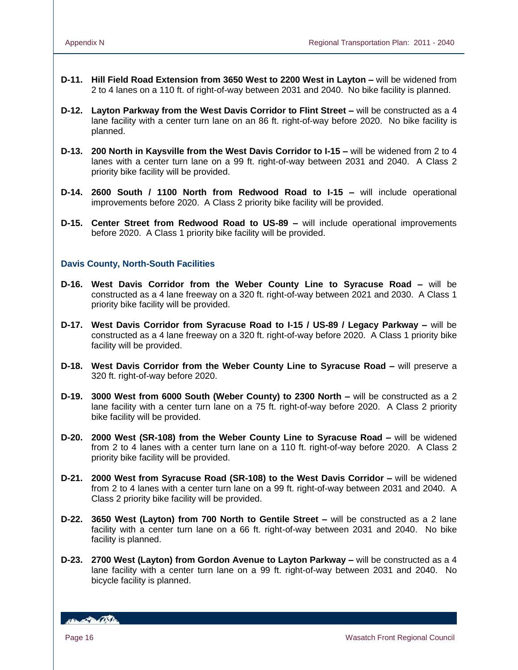- **D-11. Hill Field Road Extension from 3650 West to 2200 West in Layton –** will be widened from 2 to 4 lanes on a 110 ft. of right-of-way between 2031 and 2040. No bike facility is planned.
- **D-12. Layton Parkway from the West Davis Corridor to Flint Street –** will be constructed as a 4 lane facility with a center turn lane on an 86 ft. right-of-way before 2020. No bike facility is planned.
- **D-13. 200 North in Kaysville from the West Davis Corridor to I-15 –** will be widened from 2 to 4 lanes with a center turn lane on a 99 ft. right-of-way between 2031 and 2040. A Class 2 priority bike facility will be provided.
- **D-14. 2600 South / 1100 North from Redwood Road to I-15 –** will include operational improvements before 2020. A Class 2 priority bike facility will be provided.
- **D-15. Center Street from Redwood Road to US-89 –** will include operational improvements before 2020. A Class 1 priority bike facility will be provided.

# **Davis County, North-South Facilities**

- **D-16. West Davis Corridor from the Weber County Line to Syracuse Road –** will be constructed as a 4 lane freeway on a 320 ft. right-of-way between 2021 and 2030. A Class 1 priority bike facility will be provided.
- **D-17. West Davis Corridor from Syracuse Road to I-15 / US-89 / Legacy Parkway –** will be constructed as a 4 lane freeway on a 320 ft. right-of-way before 2020. A Class 1 priority bike facility will be provided.
- **D-18. West Davis Corridor from the Weber County Line to Syracuse Road –** will preserve a 320 ft. right-of-way before 2020.
- **D-19. 3000 West from 6000 South (Weber County) to 2300 North –** will be constructed as a 2 lane facility with a center turn lane on a 75 ft. right-of-way before 2020. A Class 2 priority bike facility will be provided.
- **D-20. 2000 West (SR-108) from the Weber County Line to Syracuse Road –** will be widened from 2 to 4 lanes with a center turn lane on a 110 ft. right-of-way before 2020. A Class 2 priority bike facility will be provided.
- **D-21. 2000 West from Syracuse Road (SR-108) to the West Davis Corridor –** will be widened from 2 to 4 lanes with a center turn lane on a 99 ft. right-of-way between 2031 and 2040. A Class 2 priority bike facility will be provided.
- **D-22. 3650 West (Layton) from 700 North to Gentile Street –** will be constructed as a 2 lane facility with a center turn lane on a 66 ft. right-of-way between 2031 and 2040. No bike facility is planned.
- **D-23. 2700 West (Layton) from Gordon Avenue to Layton Parkway –** will be constructed as a 4 lane facility with a center turn lane on a 99 ft. right-of-way between 2031 and 2040. No bicycle facility is planned.

**ABLACTION CONTINUES**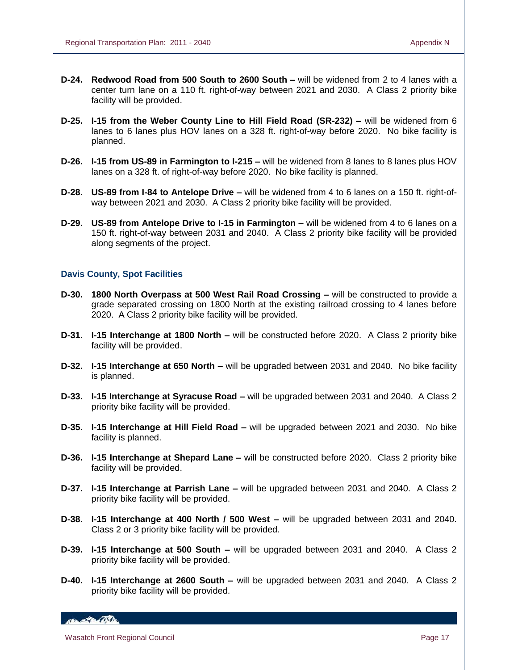- **D-24. Redwood Road from 500 South to 2600 South –** will be widened from 2 to 4 lanes with a center turn lane on a 110 ft. right-of-way between 2021 and 2030. A Class 2 priority bike facility will be provided.
- **D-25. I-15 from the Weber County Line to Hill Field Road (SR-232) –** will be widened from 6 lanes to 6 lanes plus HOV lanes on a 328 ft. right-of-way before 2020. No bike facility is planned.
- **D-26. I-15 from US-89 in Farmington to I-215 –** will be widened from 8 lanes to 8 lanes plus HOV lanes on a 328 ft. of right-of-way before 2020. No bike facility is planned.
- **D-28. US-89 from I-84 to Antelope Drive –** will be widened from 4 to 6 lanes on a 150 ft. right-ofway between 2021 and 2030. A Class 2 priority bike facility will be provided.
- **D-29. US-89 from Antelope Drive to I-15 in Farmington –** will be widened from 4 to 6 lanes on a 150 ft. right-of-way between 2031 and 2040. A Class 2 priority bike facility will be provided along segments of the project.

## **Davis County, Spot Facilities**

- **D-30. 1800 North Overpass at 500 West Rail Road Crossing –** will be constructed to provide a grade separated crossing on 1800 North at the existing railroad crossing to 4 lanes before 2020. A Class 2 priority bike facility will be provided.
- **D-31. I-15 Interchange at 1800 North –** will be constructed before 2020. A Class 2 priority bike facility will be provided.
- **D-32. I-15 Interchange at 650 North –** will be upgraded between 2031 and 2040. No bike facility is planned.
- **D-33. I-15 Interchange at Syracuse Road –** will be upgraded between 2031 and 2040. A Class 2 priority bike facility will be provided.
- **D-35. I-15 Interchange at Hill Field Road –** will be upgraded between 2021 and 2030. No bike facility is planned.
- **D-36. I-15 Interchange at Shepard Lane –** will be constructed before 2020. Class 2 priority bike facility will be provided.
- **D-37. I-15 Interchange at Parrish Lane –** will be upgraded between 2031 and 2040. A Class 2 priority bike facility will be provided.
- **D-38. I-15 Interchange at 400 North / 500 West –** will be upgraded between 2031 and 2040. Class 2 or 3 priority bike facility will be provided.
- **D-39. I-15 Interchange at 500 South –** will be upgraded between 2031 and 2040. A Class 2 priority bike facility will be provided.
- **D-40. I-15 Interchange at 2600 South –** will be upgraded between 2031 and 2040. A Class 2 priority bike facility will be provided.

150 Barbon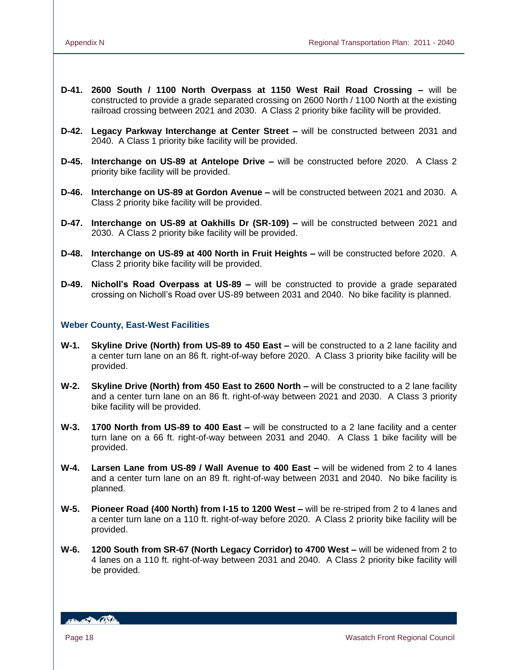- **D-41. 2600 South / 1100 North Overpass at 1150 West Rail Road Crossing –** will be constructed to provide a grade separated crossing on 2600 North / 1100 North at the existing railroad crossing between 2021 and 2030. A Class 2 priority bike facility will be provided.
- **D-42. Legacy Parkway Interchange at Center Street –** will be constructed between 2031 and 2040. A Class 1 priority bike facility will be provided.
- **D-45. Interchange on US-89 at Antelope Drive –** will be constructed before 2020. A Class 2 priority bike facility will be provided.
- **D-46. Interchange on US-89 at Gordon Avenue –** will be constructed between 2021 and 2030. A Class 2 priority bike facility will be provided.
- **D-47. Interchange on US-89 at Oakhills Dr (SR-109) –** will be constructed between 2021 and 2030. A Class 2 priority bike facility will be provided.
- **D-48. Interchange on US-89 at 400 North in Fruit Heights –** will be constructed before 2020. A Class 2 priority bike facility will be provided.
- **D-49. Nicholl's Road Overpass at US-89 –** will be constructed to provide a grade separated crossing on Nicholl's Road over US-89 between 2031 and 2040. No bike facility is planned.

## **Weber County, East-West Facilities**

- **W-1. Skyline Drive (North) from US-89 to 450 East –** will be constructed to a 2 lane facility and a center turn lane on an 86 ft. right-of-way before 2020. A Class 3 priority bike facility will be provided.
- **W-2. Skyline Drive (North) from 450 East to 2600 North –** will be constructed to a 2 lane facility and a center turn lane on an 86 ft. right-of-way between 2021 and 2030. A Class 3 priority bike facility will be provided.
- **W-3. 1700 North from US-89 to 400 East –** will be constructed to a 2 lane facility and a center turn lane on a 66 ft. right-of-way between 2031 and 2040. A Class 1 bike facility will be provided.
- **W-4. Larsen Lane from US-89 / Wall Avenue to 400 East –** will be widened from 2 to 4 lanes and a center turn lane on an 89 ft. right-of-way between 2031 and 2040. No bike facility is planned.
- **W-5. Pioneer Road (400 North) from I-15 to 1200 West –** will be re-striped from 2 to 4 lanes and a center turn lane on a 110 ft. right-of-way before 2020. A Class 2 priority bike facility will be provided.
- **W-6. 1200 South from SR-67 (North Legacy Corridor) to 4700 West –** will be widened from 2 to 4 lanes on a 110 ft. right-of-way between 2031 and 2040. A Class 2 priority bike facility will be provided.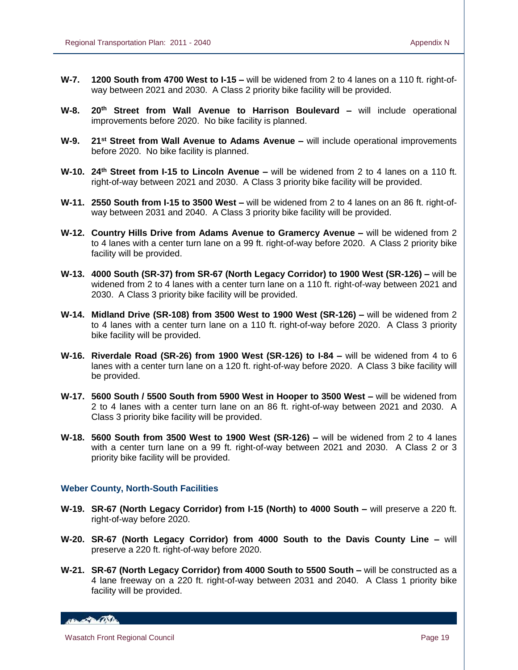- **W-7. 1200 South from 4700 West to I-15 –** will be widened from 2 to 4 lanes on a 110 ft. right-ofway between 2021 and 2030. A Class 2 priority bike facility will be provided.
- **W-8. 20th Street from Wall Avenue to Harrison Boulevard –** will include operational improvements before 2020. No bike facility is planned.
- **W-9. 21st Street from Wall Avenue to Adams Avenue –** will include operational improvements before 2020. No bike facility is planned.
- **W-10. 24th Street from I-15 to Lincoln Avenue –** will be widened from 2 to 4 lanes on a 110 ft. right-of-way between 2021 and 2030. A Class 3 priority bike facility will be provided.
- **W-11. 2550 South from I-15 to 3500 West –** will be widened from 2 to 4 lanes on an 86 ft. right-ofway between 2031 and 2040. A Class 3 priority bike facility will be provided.
- **W-12. Country Hills Drive from Adams Avenue to Gramercy Avenue –** will be widened from 2 to 4 lanes with a center turn lane on a 99 ft. right-of-way before 2020. A Class 2 priority bike facility will be provided.
- **W-13. 4000 South (SR-37) from SR-67 (North Legacy Corridor) to 1900 West (SR-126) –** will be widened from 2 to 4 lanes with a center turn lane on a 110 ft. right-of-way between 2021 and 2030. A Class 3 priority bike facility will be provided.
- **W-14. Midland Drive (SR-108) from 3500 West to 1900 West (SR-126) –** will be widened from 2 to 4 lanes with a center turn lane on a 110 ft. right-of-way before 2020. A Class 3 priority bike facility will be provided.
- **W-16. Riverdale Road (SR-26) from 1900 West (SR-126) to I-84 –** will be widened from 4 to 6 lanes with a center turn lane on a 120 ft. right-of-way before 2020. A Class 3 bike facility will be provided.
- **W-17. 5600 South / 5500 South from 5900 West in Hooper to 3500 West –** will be widened from 2 to 4 lanes with a center turn lane on an 86 ft. right-of-way between 2021 and 2030. A Class 3 priority bike facility will be provided.
- **W-18. 5600 South from 3500 West to 1900 West (SR-126) –** will be widened from 2 to 4 lanes with a center turn lane on a 99 ft. right-of-way between 2021 and 2030. A Class 2 or 3 priority bike facility will be provided.

#### **Weber County, North-South Facilities**

- **W-19. SR-67 (North Legacy Corridor) from I-15 (North) to 4000 South –** will preserve a 220 ft. right-of-way before 2020.
- **W-20. SR-67 (North Legacy Corridor) from 4000 South to the Davis County Line –** will preserve a 220 ft. right-of-way before 2020.
- **W-21. SR-67 (North Legacy Corridor) from 4000 South to 5500 South –** will be constructed as a 4 lane freeway on a 220 ft. right-of-way between 2031 and 2040. A Class 1 priority bike facility will be provided.

150 Barbon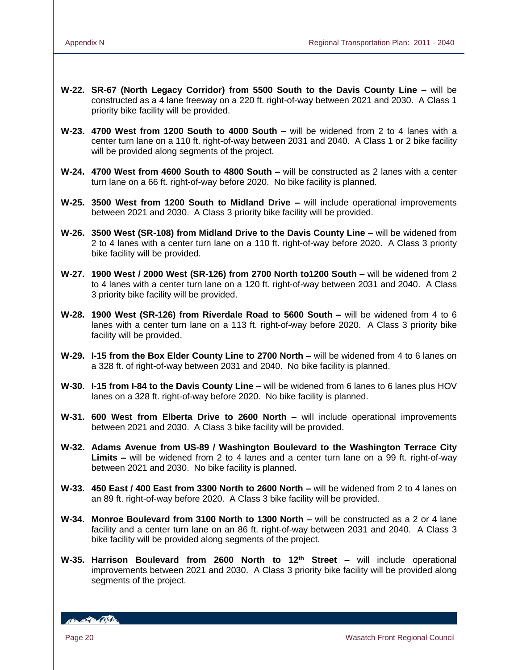- **W-22. SR-67 (North Legacy Corridor) from 5500 South to the Davis County Line –** will be constructed as a 4 lane freeway on a 220 ft. right-of-way between 2021 and 2030. A Class 1 priority bike facility will be provided.
- **W-23. 4700 West from 1200 South to 4000 South –** will be widened from 2 to 4 lanes with a center turn lane on a 110 ft. right-of-way between 2031 and 2040. A Class 1 or 2 bike facility will be provided along segments of the project.
- **W-24. 4700 West from 4600 South to 4800 South –** will be constructed as 2 lanes with a center turn lane on a 66 ft. right-of-way before 2020. No bike facility is planned.
- **W-25. 3500 West from 1200 South to Midland Drive –** will include operational improvements between 2021 and 2030. A Class 3 priority bike facility will be provided.
- **W-26. 3500 West (SR-108) from Midland Drive to the Davis County Line –** will be widened from 2 to 4 lanes with a center turn lane on a 110 ft. right-of-way before 2020. A Class 3 priority bike facility will be provided.
- **W-27. 1900 West / 2000 West (SR-126) from 2700 North to1200 South –** will be widened from 2 to 4 lanes with a center turn lane on a 120 ft. right-of-way between 2031 and 2040. A Class 3 priority bike facility will be provided.
- **W-28. 1900 West (SR-126) from Riverdale Road to 5600 South –** will be widened from 4 to 6 lanes with a center turn lane on a 113 ft. right-of-way before 2020. A Class 3 priority bike facility will be provided.
- **W-29. I-15 from the Box Elder County Line to 2700 North –** will be widened from 4 to 6 lanes on a 328 ft. of right-of-way between 2031 and 2040. No bike facility is planned.
- **W-30. I-15 from I-84 to the Davis County Line –** will be widened from 6 lanes to 6 lanes plus HOV lanes on a 328 ft. right-of-way before 2020. No bike facility is planned.
- **W-31. 600 West from Elberta Drive to 2600 North –** will include operational improvements between 2021 and 2030. A Class 3 bike facility will be provided.
- **W-32. Adams Avenue from US-89 / Washington Boulevard to the Washington Terrace City Limits –** will be widened from 2 to 4 lanes and a center turn lane on a 99 ft. right-of-way between 2021 and 2030. No bike facility is planned.
- **W-33. 450 East / 400 East from 3300 North to 2600 North –** will be widened from 2 to 4 lanes on an 89 ft. right-of-way before 2020. A Class 3 bike facility will be provided.
- **W-34. Monroe Boulevard from 3100 North to 1300 North –** will be constructed as a 2 or 4 lane facility and a center turn lane on an 86 ft. right-of-way between 2031 and 2040. A Class 3 bike facility will be provided along segments of the project.
- **W-35. Harrison Boulevard from 2600 North to 12th Street –** will include operational improvements between 2021 and 2030. A Class 3 priority bike facility will be provided along segments of the project.

**Branch De Children**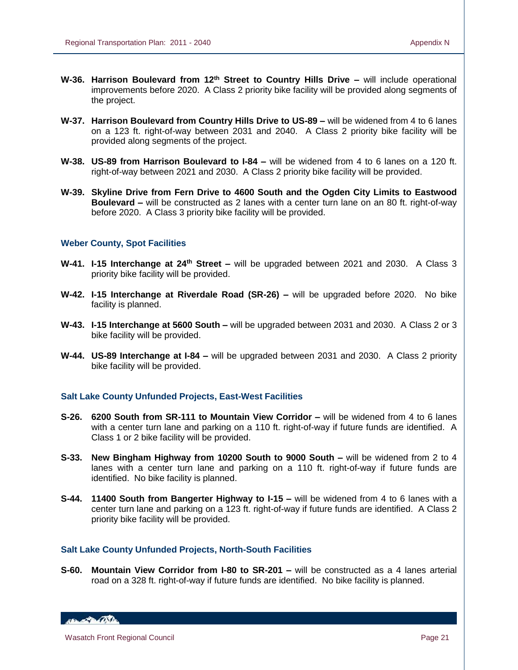- **W-36. Harrison Boulevard from 12th Street to Country Hills Drive –** will include operational improvements before 2020. A Class 2 priority bike facility will be provided along segments of the project.
- **W-37. Harrison Boulevard from Country Hills Drive to US-89 –** will be widened from 4 to 6 lanes on a 123 ft. right-of-way between 2031 and 2040. A Class 2 priority bike facility will be provided along segments of the project.
- **W-38. US-89 from Harrison Boulevard to I-84 –** will be widened from 4 to 6 lanes on a 120 ft. right-of-way between 2021 and 2030. A Class 2 priority bike facility will be provided.
- **W-39. Skyline Drive from Fern Drive to 4600 South and the Ogden City Limits to Eastwood Boulevard –** will be constructed as 2 lanes with a center turn lane on an 80 ft. right-of-way before 2020. A Class 3 priority bike facility will be provided.

## **Weber County, Spot Facilities**

- **W-41. I-15 Interchange at 24th Street –** will be upgraded between 2021 and 2030. A Class 3 priority bike facility will be provided.
- **W-42. I-15 Interchange at Riverdale Road (SR-26) –** will be upgraded before 2020. No bike facility is planned.
- **W-43. I-15 Interchange at 5600 South –** will be upgraded between 2031 and 2030. A Class 2 or 3 bike facility will be provided.
- **W-44. US-89 Interchange at I-84 –** will be upgraded between 2031 and 2030. A Class 2 priority bike facility will be provided.

# **Salt Lake County Unfunded Projects, East-West Facilities**

- **S-26. 6200 South from SR-111 to Mountain View Corridor –** will be widened from 4 to 6 lanes with a center turn lane and parking on a 110 ft. right-of-way if future funds are identified. A Class 1 or 2 bike facility will be provided.
- **S-33. New Bingham Highway from 10200 South to 9000 South –** will be widened from 2 to 4 lanes with a center turn lane and parking on a 110 ft. right-of-way if future funds are identified. No bike facility is planned.
- **S-44. 11400 South from Bangerter Highway to I-15 –** will be widened from 4 to 6 lanes with a center turn lane and parking on a 123 ft. right-of-way if future funds are identified. A Class 2 priority bike facility will be provided.

## **Salt Lake County Unfunded Projects, North-South Facilities**

**S-60. Mountain View Corridor from I-80 to SR-201 –** will be constructed as a 4 lanes arterial road on a 328 ft. right-of-way if future funds are identified. No bike facility is planned.

HELL POLICE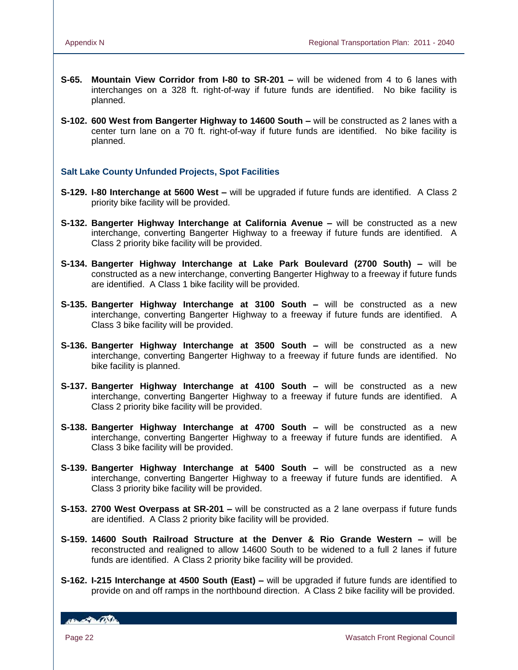- **S-65. Mountain View Corridor from I-80 to SR-201 –** will be widened from 4 to 6 lanes with interchanges on a 328 ft. right-of-way if future funds are identified. No bike facility is planned.
- **S-102. 600 West from Bangerter Highway to 14600 South –** will be constructed as 2 lanes with a center turn lane on a 70 ft. right-of-way if future funds are identified. No bike facility is planned.

# **Salt Lake County Unfunded Projects, Spot Facilities**

- **S-129. I-80 Interchange at 5600 West –** will be upgraded if future funds are identified. A Class 2 priority bike facility will be provided.
- **S-132. Bangerter Highway Interchange at California Avenue –** will be constructed as a new interchange, converting Bangerter Highway to a freeway if future funds are identified. A Class 2 priority bike facility will be provided.
- **S-134. Bangerter Highway Interchange at Lake Park Boulevard (2700 South) –** will be constructed as a new interchange, converting Bangerter Highway to a freeway if future funds are identified. A Class 1 bike facility will be provided.
- **S-135. Bangerter Highway Interchange at 3100 South –** will be constructed as a new interchange, converting Bangerter Highway to a freeway if future funds are identified. A Class 3 bike facility will be provided.
- **S-136. Bangerter Highway Interchange at 3500 South –** will be constructed as a new interchange, converting Bangerter Highway to a freeway if future funds are identified. No bike facility is planned.
- **S-137. Bangerter Highway Interchange at 4100 South –** will be constructed as a new interchange, converting Bangerter Highway to a freeway if future funds are identified. A Class 2 priority bike facility will be provided.
- **S-138. Bangerter Highway Interchange at 4700 South –** will be constructed as a new interchange, converting Bangerter Highway to a freeway if future funds are identified. A Class 3 bike facility will be provided.
- **S-139. Bangerter Highway Interchange at 5400 South –** will be constructed as a new interchange, converting Bangerter Highway to a freeway if future funds are identified. A Class 3 priority bike facility will be provided.
- **S-153. 2700 West Overpass at SR-201 –** will be constructed as a 2 lane overpass if future funds are identified. A Class 2 priority bike facility will be provided.
- **S-159. 14600 South Railroad Structure at the Denver & Rio Grande Western –** will be reconstructed and realigned to allow 14600 South to be widened to a full 2 lanes if future funds are identified. A Class 2 priority bike facility will be provided.
- **S-162. I-215 Interchange at 4500 South (East) –** will be upgraded if future funds are identified to provide on and off ramps in the northbound direction. A Class 2 bike facility will be provided.

**Branch De Children**